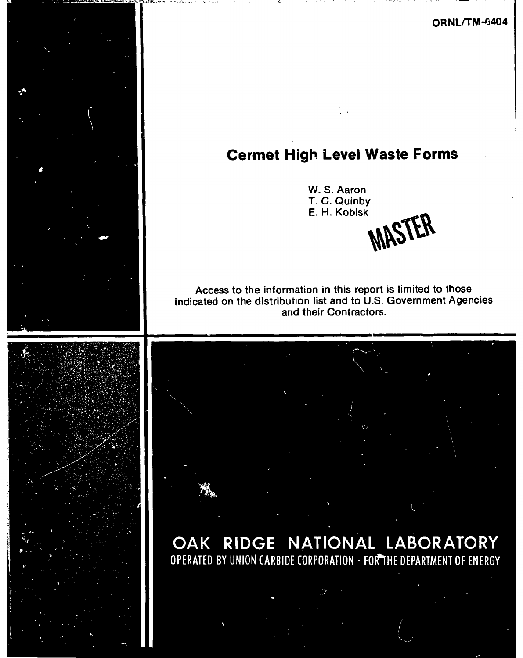**ORNL/TM-6404** 

# **Cermet High Level Waste Forms**

**W. S. Aaron T. C. Quinby**  E. H. Kobisk **MASTER** 

**Access to the information in this report is limited to those indicated on the distribution list and to U.S. Government Agencies and their Contractors.** 

**OAK RIDGE NATIONAL LABORATORY**<br>**OPERATED BY UNION CARBIDE CORPORATION · FORTHE DEPARTMENT OF ENERGY**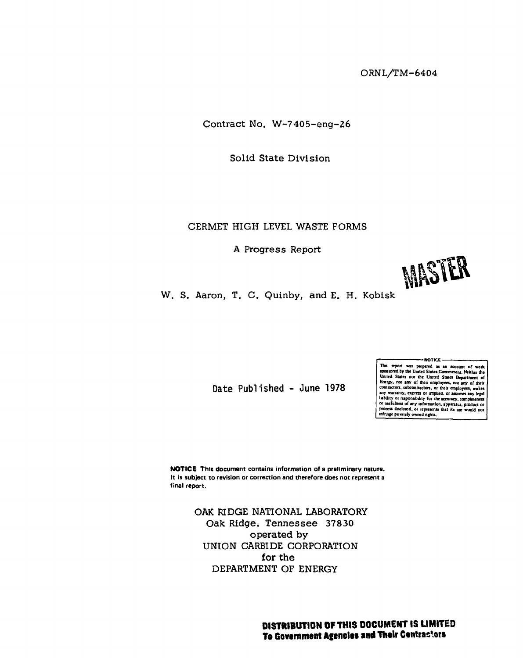**ORNL/TM-6404** 

**Contract No. W-7405-eng-2 6** 

**Solid State Divisio n** 

### **CERMET HIGH LEVEL WASTE FORMS**

**A Progress Report** 



**W. S. Aaron, T. C. Quinby, and E. H. Kobisk** 

**Date Published - June 1978** 

NOTICE This report was prepared as an account of voriet proceding spanned appears and spanned by the United States Covernment. Neitherthe United States nor any of their employees, nor any of their employees, nor any of their empl

**NOTIC E This document contains information of a preliminary nature. It is subject to revision or correction and therefore does not represent a final report.** 

> **OAK RIDGE NATIONAL LABORATORY Oak Ridge, Tennesse e 37830 operated by UNION CARBIDE CORPORATION for the DEPARTMENT OF ENERGY**

> > **DISTRIBUTION OF THIS DOCUMENT IS UNITED To Government Agencies and Their Centractors**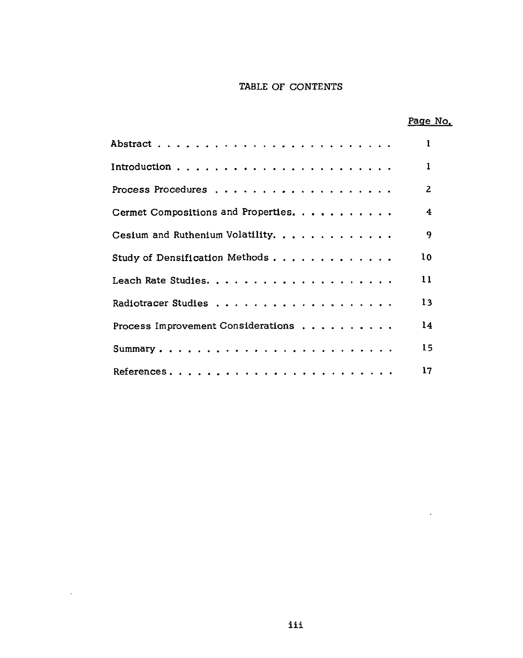### **TABLE OF CONTENTS**

|                                     | Page No.        |
|-------------------------------------|-----------------|
|                                     | L               |
|                                     | 1               |
|                                     | $\overline{z}$  |
| Cermet Compositions and Properties. | 4               |
| Cesium and Ruthenium Volatility.    | 9               |
| Study of Densification Methods      | 10 <sup>2</sup> |
|                                     | $\mathbf{11}$   |
|                                     | 13              |
| Process Improvement Considerations  | 14              |
| Summary                             | 15              |
|                                     | 17              |

 $\mathcal{L}^{\text{max}}_{\text{max}}$ 

 $\mathcal{L}^{\pm}$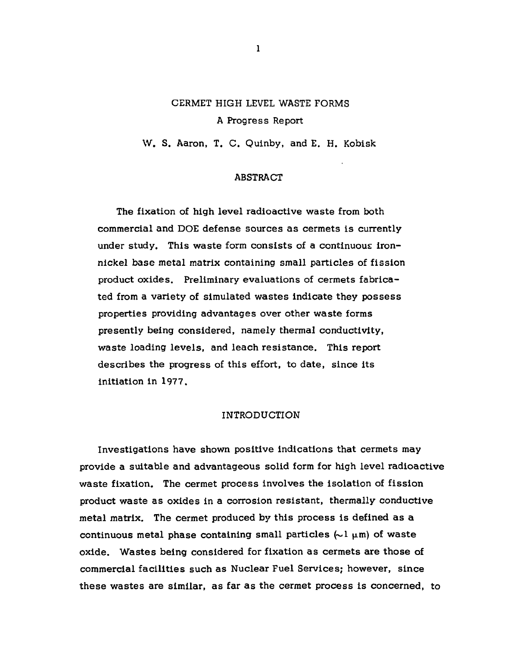## **CERMET HIGH LEVEL WASTE FORMS A Progress Report**

**W. S. Aaron, T. C. Quinby, and E. H. Kobisk** 

### **ABSTRACT**

The fixation of high level radioactive waste from both **commercial and DOE defens e source s a s cermets is currently**  under study. This waste form consists of a continuous iron**nickel bas e metal matrix containing small particles of fissio n product oxides. Preliminary evaluations of cermets fabricated from a variety of simulated waste s indicate they possess**  properties providing advantages over other waste forms **presently being considered, namely thermal conductivity, wast e loading levels, and leach resistance . This report**  describes the progress of this effort, to date, since its **initiation in 1977.** 

#### **INTRODUCTION**

**Investigations have shown positive indications that cermets may provide a suitable and advantageous solid form for high level radioactive** waste fixation. The cermet process involves the isolation of fission **product wast e a s oxide s in a corrosion resistant, thermally conductive metal matrix. The cermet produced by this process is defined a s a**  continuous metal phase containing small particles  $(\sim 1 \mu \text{m})$  of waste **oxide.** Wastes being considered for fixation as cermets are those of commercial facilities such as Nuclear Fuel Services; however, since **thes e waste s are similar, a s far a s the cermet process is concerned, to**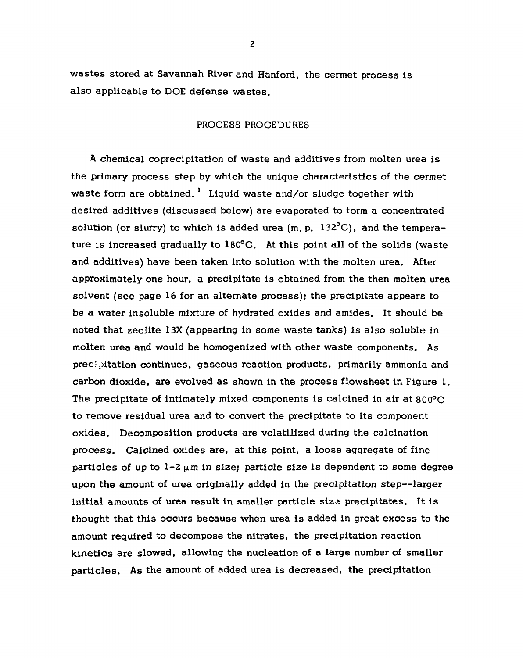**waste s stored at Savannah River and Hanford, the cermet process is als o applicabl e t o DOE defens e wastes.** 

### **PROCESS PROCEDURES**

**A chemical coprecipitation of wast e and additive s from molten urea is**  the primary process step by which the unique characteristics of the cermet **waste form are obtained.** <sup>1</sup> Liquid waste and/or sludge together with **desired additive s (discusse d below) are evaporated to form a concentrated**  solution (or slurry) to which is added urea (m. p. 132<sup>o</sup>C), and the temperature is increased gradually to 180°C. At this point all of the solids (waste **and additives) have been taken into solution with the molten urea. After approximately one hour, a precipitate is obtained from the then molten urea solvent (se e page 16 for an alternate process); the precipitate appears to be a wate r insolubl e mixture of hydrated oxide s and amides. It should be noted that zeolit e 13X (appearing in some wast e tanks) is als o solubl e in molten urea and would be homogenized with other wast e components. As precipitation continues, gaseous reaction products, primarily ammonia and carbon dioxide , are evolved a s shown in the process flowshee t in Figure 1. The precipitate of intimately mixed components is calcined in air at 800°C t o remove residual urea and to convert the precipitate to its component oxides. Decomposition products are volatilized during the calcination process. Calcined oxide s are, at this point, a loos e aggregat e of fine particles** of up to  $1-2$   $\mu$ m in size; particle size is dependent to some degree **upon the amount of urea originally added in the precipitation step—large r initia l amounts of urea result in smaller particle siz 3 precipitates. It is thought that this occur s becaus e when urea is added in great excess to the**  amount required to decompose the nitrates, the precipitation reaction **kinetic s are slowed, allowing the nucleation of a large number of smaller particles. As the amount of added urea is decreased, the precipitation**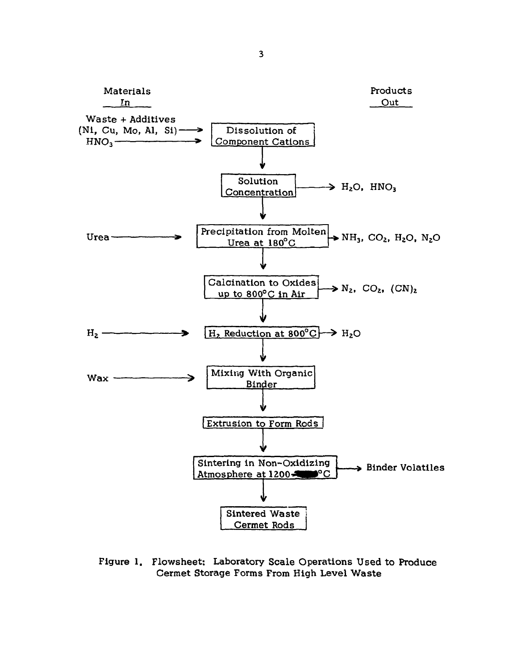

**Figure 1. Flowsheet: Laboratory Scale Operations Used to Produce Cermet Storage Forms From High Level Waste**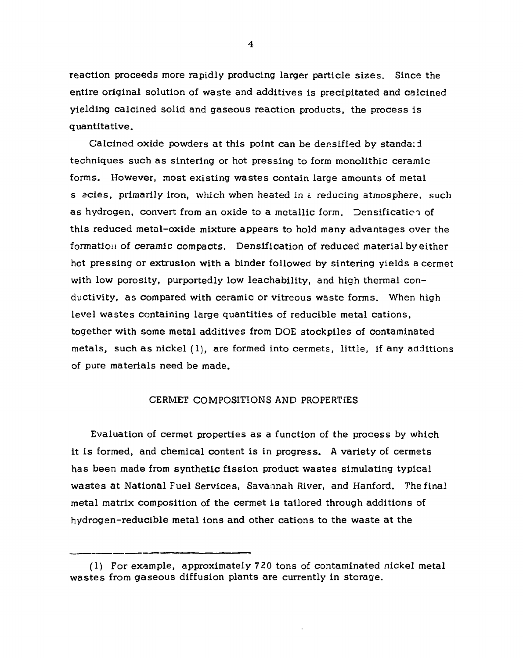**reaction proceeds more rapidly producing larger particle sizes. Since the entire original solution of wast e and additive s is precipitated and calcined yielding calcined solid and gaseous reaction products, the process is quantitative.** 

**Calcined oxide powders at this point can be densified by standard technique s such a s sintering or hot pressing to form monolithic ceramic forms. However, most existing waste s contain large amounts of metal s acies, primarily iron, which when heated in t reducing atmosphere, such as hydrogen, convert from an oxide to a metallic form.** Densification of **this reduced metal-oxide mixture appears to hold many advantages over the formation of ceramic compacts. Densification of reduced material by either hot pressing or extrusion with a binder followed by sintering yields a cermet with low porosity, purportedly low leachability, and high thermal conductivity, a s compared with ceramic or vitreous wast e forms. When high leve l waste s containing large quantities of reducible metal cations, together with some metal additives from DOE stockpile s of contaminated metals, such a s nickel (1), are formed into cermets, little, if any additions of pure materials need be made.** 

### **CERMET COMPOSITIONS AND PROPERTIES**

Evaluation of cermet properties as a function of the process by which **it is formed, and chemical content is in progress. A variety of cermets has been made from synthetic fissio n product waste s simulating typical waste s at National Fuel Services, Savannah River, and Hanford. The final metal matrix composition of the cermet is tailored through additions of**  hydrogen-reducible metal ions and other cations to the waste at the

**<sup>(1)</sup> For example, approximately 720 tons of contaminated nickel metal waste s from gaseou s diffusion plants are currently in storage.**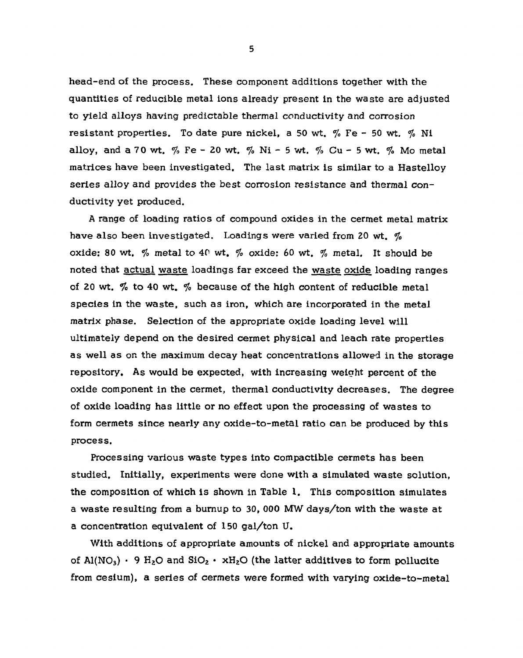**head-end of the process. Thes e component additions together with the quantities of reducible metal ions already present in the wast e are adjusted to yield alloys having predictable thermal conductivity and corrosion resistant properties. To date pure nickel, a 50 wt. % Fe - 50 wt. % Ni alloy, and a 70 wt. % Fe - 20 wt. % Ni - 5 wt. % Cu - 5 wt. % Mo metal matrices have been investigated. The last matrix is similar to a Hastelloy**  series alloy and provides the best corrosion resistance and thermal conductivity yet produced.

**A range of loading ratios of compound oxide s in the cermet metal matrix have als o been investigated. Loadings were varied from 20 wt. % oxide: 80 wt. % metal to 40 wt. % oxide: 60 wt. % metal. It should be noted that actual wast e loadings far exceed the wast e oxide loading ranges of 20 wt. % t o 40 wt. % becaus e of the high content of reducible metal specie s in the waste , such a s iron, which are incorporated in the metal**  matrix phase. Selection of the appropriate oxide loading level will **ultimately depend on the desired cermet physical and leach rate properties a s well a s on the maximum decay heat concentrations allowed in the storage repository. As would be expected, with increasing weight percent of the oxide component in the cermet, thermal conductivity decreases. The degree of oxide loading has little or no effec t upon the processing of waste s to**  form cermets since nearly any oxide-to-metal ratio can be produced by this **process.** 

**Processing various wast e type s into compactible cermets has been**  studied. Initially, experiments were done with a simulated waste solution, **the composition of which is shown in Table 1. This composition simulate s a wast e resulting from a burnup to 30, 000 MW days/ton with the wast e at a concentration equivalent of 150 gal/ton U.** 

With additions of appropriate amounts of nickel and appropriate amounts of  $AI(NO<sub>3</sub>)$  • 9  $H<sub>2</sub>O$  and  $SiO<sub>2</sub>$  •  $xH<sub>2</sub>O$  (the latter additives to form pollucite from cesium), a series of cermets were formed with varying oxide-to-metal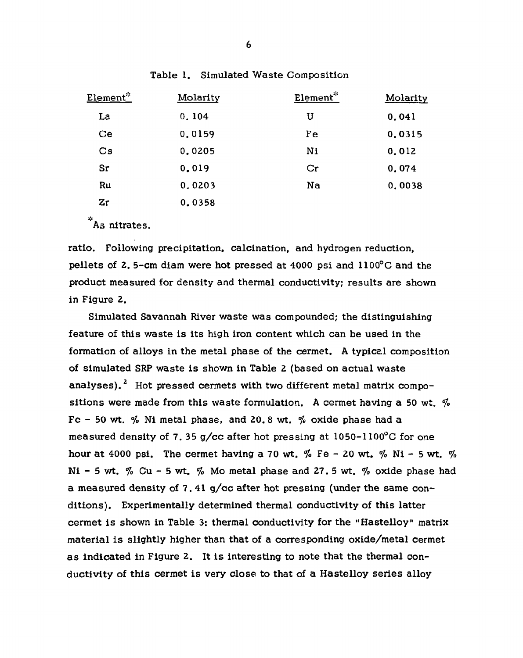| Element*               | Molarity | Element*       | Molarity |
|------------------------|----------|----------------|----------|
| La                     | 0.104    | U              | 0.041    |
| Ce                     | 0.0159   | Fe             | 0.0315   |
| $\mathbf{C}\mathbf{s}$ | 0.0205   | N <sub>i</sub> | 0.012    |
| Sr                     | 0.019    | Cr             | 0.074    |
| Ru                     | 0.0203   | Na             | 0.0038   |
| Zr                     | 0.0358   |                |          |

**Table 1. Simulated Waste Composition** 

**As nitrates.** 

**ratio. Following precipitation, calcination, and hydrogen reduction, pellets of 2. 5-cm diam were hot pressed at 4000 psi and 1100°C and the product measured for density and thermal conductivity; results are shown in Figure 2.** 

**Simulated Savannah River wast e wa s compounded; the distinguishing**  feature of this waste is its high iron content which can be used in the **formation of alloy s in the metal phase of the cermet. A typical composition**  of simulated SRP waste is shown in Table 2 (based on actual waste **analyses). <sup>2</sup> Hot pressed cermets with two different metal matrix compositions were made from this wast e formulation. A cermet having a 50 wt. % Fe - 50 wt. % Ni metal phase, and 20. 8 wt. % oxide phase had a measured density of 7. 35 g/c c after hot pressing at 1050-1100°C for one hour at 4000 psi. The cermet having a 70 wt. % Fe - 20 wt. % Ni - 5 wt. % Ni - 5 wt. % Cu - 5 wt. % Mo metal phase and 27. 5 wt. % oxide phase had**  a measured density of 7.41 g/cc after hot pressing (under the same con**ditions). Experimentally determined thermal conductivity of this latter cermet is shown in Table 3: thermal conductivity for the "Hastelloy" matrix material is slightly higher than that of a corresponding oxide/metal cermet a s indicated in Figure 2. it is interesting to note that the thermal conductivit y of this cermet is very clos e to that of a Hastello y serie s alloy**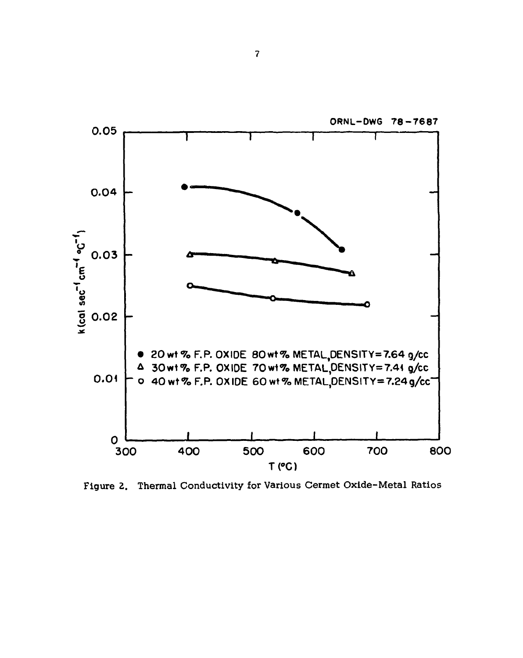

**Figure 2. Thermal Conductivity for Various Cermet Oxide-Metal Ratios**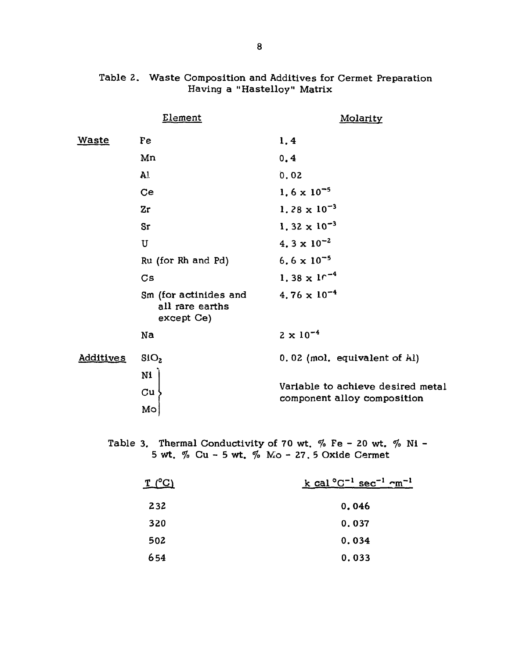|                  | Element                                                | Molarity                                                         |
|------------------|--------------------------------------------------------|------------------------------------------------------------------|
| <u>Waste</u>     | Fe                                                     | 1,4                                                              |
|                  | Mn                                                     | 0, 4                                                             |
|                  | ${\bf A}1$                                             | 0.02                                                             |
|                  | Ce                                                     | $1.6 \times 10^{-5}$                                             |
|                  | Zr                                                     | 1.28 $\times$ 10 <sup>-3</sup>                                   |
|                  | Sr                                                     | 1.32 $\times$ 10 <sup>-3</sup>                                   |
|                  | $\mathbf U$                                            | 4.3 $\times$ 10 <sup>-2</sup>                                    |
|                  | Ru (for Rh and Pd)                                     | 6.6 $\times$ 10 <sup>-5</sup>                                    |
|                  | $\mathbf{C}\mathbf{s}$                                 | 1.38 $\times$ 1 <sup>-4</sup>                                    |
|                  | Sm (for actinides and<br>all rare earths<br>except Ce) | $4.76 \times 10^{-4}$                                            |
|                  | Na                                                     | $2 \times 10^{-4}$                                               |
| <b>Additives</b> | SiO <sub>2</sub>                                       | 0.02 (mol. equivalent of Al)                                     |
|                  | Ni<br>$\mathbf{C}\mathbf{u}$<br>Mo                     | Variable to achieve desired metal<br>component alloy composition |

### Table 2. Waste Composition and Additives for Cermet Preparation **Having a "Hastelloy" Matrix**

**Table 3. Thermal Conductivity of 70 wt. % Fe - 20 wt. % Ni - 5 wt. % Cu - 5 wt. % Mo - 27. 5 Oxide Cermet** 

| $T_{\text{-}}(^{\circ}C)$ | k cal $^{\circ}$ C <sup>-1</sup> sec <sup>-1</sup> cm <sup>-1</sup> |
|---------------------------|---------------------------------------------------------------------|
| 232                       | 0.046                                                               |
| 320                       | 0.037                                                               |
| 502                       | 0.034                                                               |
| 654                       | 0.033                                                               |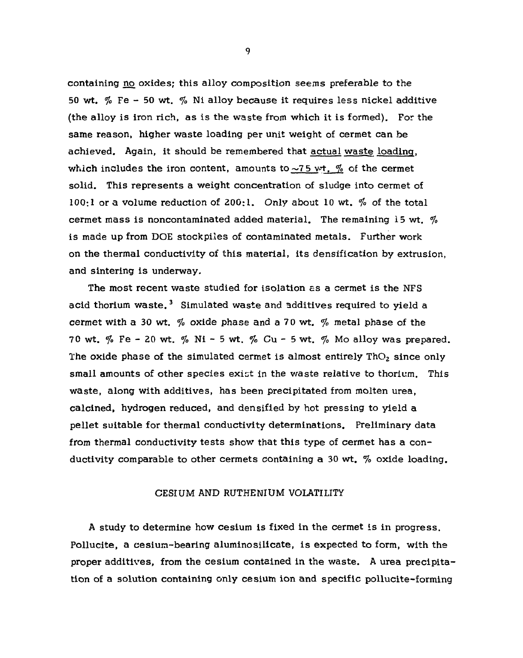**containing no oxides; this allo y composition seems preferable to the 50 wt. % Fe - 50 wt. % Ni alloy becaus e it requires less nicke l additive (the alloy is iron rich, a s is the wast e from which it is formed). For the same reason, higher wast e loading per unit weight of cermet can be achieved.** Again, it should be remembered that actual waste loading, which includes the iron content, amounts to  $\sim$ 75 wt.  $\%$  of the cermet **solid. This represents a weight concentration of sludge into cermet of 100:1 or a volume reduction of 200:1. Only about 10 wt. % of the total cermet mass is noncontaminated added material. The remaining 15 wt. %**  is made up from DOE stockpiles of contaminated metals. Further work **on the thermal conductivity of this material, its densification by extrusion, and sintering is underway.** 

**The most recent wast e studied for isolation as a cermet is the NFS acid thorium waste. <sup>3</sup> Simulated wast e and additive s required to yield a cermet with a 30 wt. % oxide phase and a 70 wt. % metal phase of the 70 wt. % Fe - 20 wt. % Ni - 5 wt. % Cu - 5 wt. % Mo alloy wa s prepared.**  The oxide phase of the simulated cermet is almost entirely ThO<sub>2</sub> since only **small amounts of other specie s exist in the wast e relative to thorium. This waste , along with additives, has been precipitated from molten urea, calcined, hydrogen reduced, and densifled by hot pressing to yield a pelle t suitable for thermal conductivity determinations. Preliminary data from thermal conductivity tests show that this type of cermet has a conductivity comparable to other cermets containing a 30 wt. % oxide loading.** 

### **CESIUM AND RUTHENIUM VOLATILITY**

**A study to determine how cesium is fixed in the cermet is in progress. Pollucite, a cesium-bearing aluminosilicate , is expected to form, with the proper additives, from the cesium contained in the waste . A urea precipitation of a solution containing only cesium ion and specifi c pollucite-forming**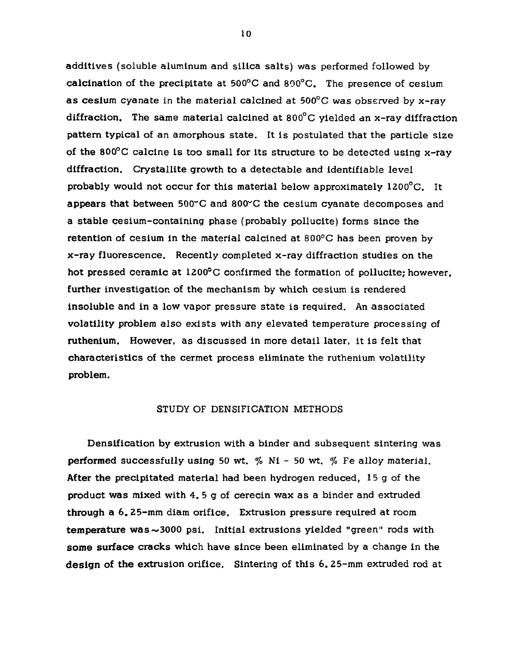**additive s (soluble aluminum and silica salts) was performed followed by calcination of the precipitate at 500°C and 800°C. The presence of cesium a s cesium cyanate in the material calcined at 500°C was observed by x-ra y diffraction. The same material calcined at 800°C yielded an x-ray diffraction pattern typical of an amorphous state.** It is postulated that the particle size **of the 800°C calcine is too small for its structure to be detected using x-ray**  diffraction. Crystallite growth to a detectable and identifiable level **probably would not occur for this material below approximately 1200°C. It appears that between 500~C and 800"C the cesium cyanate decompose s and a stabl e cesium-containing phase (probably pollucite) forms sinc e the retention of cesium in the material calcined at 800°C has been proven by x-ra y fluorescence . Recently completed x-ra y diffraction studie s on the hot pressed ceramic at 1200°C confirmed the formation of pollucite; however, further investigation of the mechanism by which cesium is rendered insolubl e and in a low vapor pressure state is required. An associated**  volatility problem also exists with any elevated temperature processing of **ruthenium. However, as discussed in more detail later, it is felt that characteristic s of the cermet process eliminate the ruthenium volatility problem.** 

### **STUDY OF DENSIFICATION METHODS**

**Densification by extrusion with a binder and subsequent sintering was performed successfully using 50 wt.** % Ni - 50 wt. % Fe alloy material. **After the precipitated material had been hydrogen reduced, 15 g of the product wa s mixed with 4. 5 g of cerecin wax a s a binder and extruded through a 6. 25-mm diam orifice. Extrusion pressure required at room temperature was~300 0 psi. Initial extrusions yielded "green" rods with some surfac e cracks which have sinc e been eliminated by a change in the desig n of the extrusion orifice. Sintering of this 6. 25-mm extruded rod at**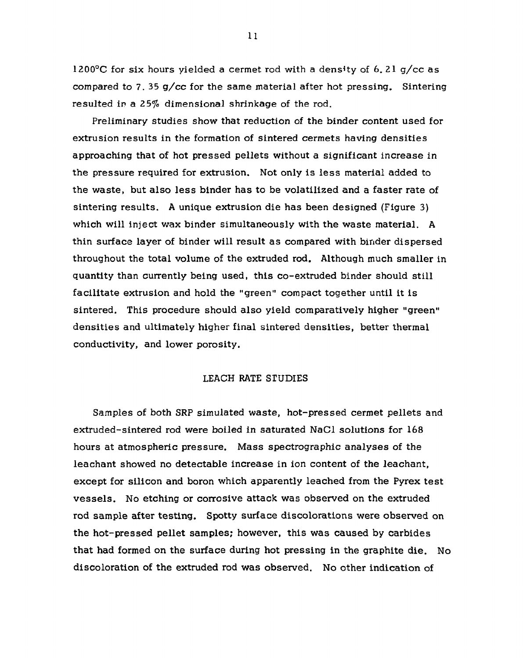**1200°C for si x hours yielded a cermet rod with a dens\*ty of 6. 21 g/c c a s compared to 7. 35 g/c c for the same material after hot pressing. Sintering resulted in a 25% dimensional shrinkage of the rod.** 

**Preliminary studie s show that reduction of the binder content used for**  extrusion results in the formation of sintered cermets having densities approaching that of hot pressed pellets without a significant increase in **the pressure required for extrusion. Not only is less material added to the waste , but als o less binder has to be volatilized and a faste r rate of sintering results. A unique extrusion die has been designed (Figure 3)**  which will inject wax binder simultaneously with the waste material. A **thin surface layer of binder will result a s compared with binder dispersed throughout the total volume of the extruded rod. Although much smaller in quantity than currently being used, this co-extruded binder should still facilitat e extrusion and hold the "green" compact together until it is**  sintered. This procedure should also yield comparatively higher "green" **densitie s and ultimately higher final sintered densities, better thermal conductivity, and lower porosity.** 

### **LEACH RATE STUDIES**

**Samples of both SRP simulated waste , hot-pressed cermet pellets and extruded-sintered rod were boiled in saturated NaCl solutions for 168 hours at atmospheric pressure. Mass spectrographic analyse s of the leachant showed no detectabl e increas e in ion content of the leachant, except for silicon and boron which apparently leached from the Pyrex test vessels. No etching or corrosive attack was observed on the extruded rod sample after testing. Spotty surface discolorations were observed on**  the hot-pressed pellet samples; however, this was caused by carbides **that had formed on the surface during hot pressing in the graphite die. No discoloration of the extruded rod wa s observed. No other indication of**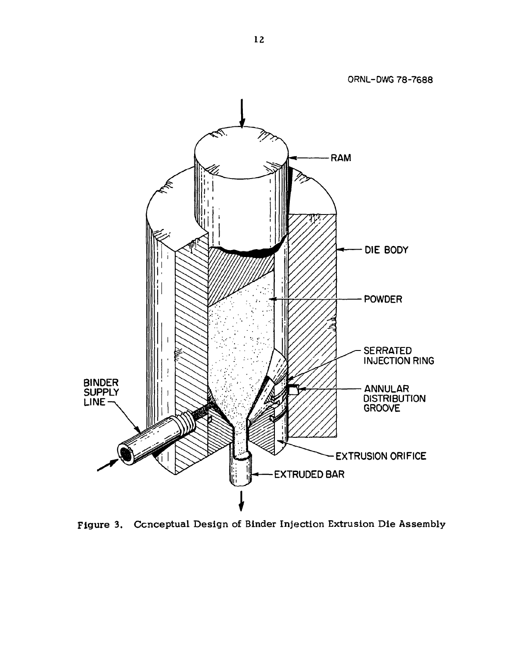

Figure 3. Conceptual Design of Binder Injection Extrusion Die Assembly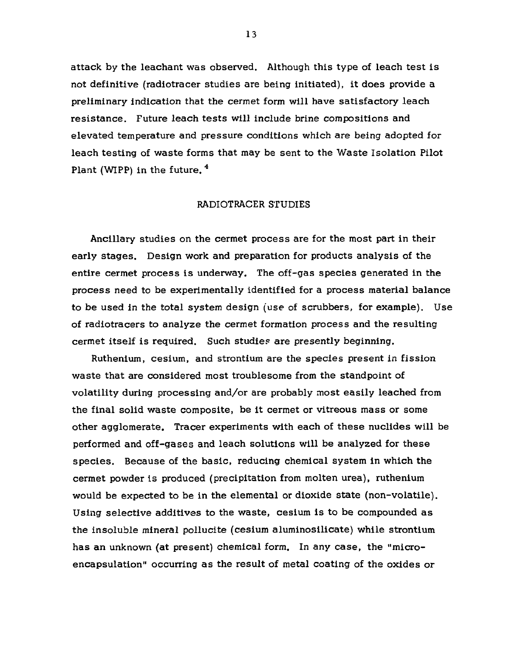**attack by the leachant wa s observed. Although this type of leach test is not definitive (radiotracer studie s are being initiated), it doe s provide a preliminary indication that the cermet form will have satisfactory leach resistance . Future leach tests will include brine compositions and elevated temperature and pressure conditions which are being adopted for leach testing of wast e forms that may be sent to the Wast e Isolation Pilot Plant (WIPP) in the future. 4** 

### **RADIOTRACER STUDIES**

**Ancillary studie s on the cermet process are for the most part in their early stages. Design work and preparation for products analysis of the entire cermet process is underway. The off-ga s specie s generated in the process need to be experimentally identified for a process material balance to be used in the total system design (us e of scrubbers, for example). Us e of radiotracers to analyz e the cermet formation process and the resulting**  cermet itself is required. Such studies are presently beginning.

Ruthenium, cesium, and strontium are the species present in fission **wast e that are considered most troublesome from the standpoint of volatility during processing and/or are probably most easil y leached from the final solid wast e composite, be it cermet or vitreous mass or some other agglomerate. Tracer experiments with each of thes e nuclide s will be performed and off-gase s and leach solutions will be analyzed for thes e species. Becaus e of the basic , reducing chemical system in which the cermet powder is produced (precipitation from molten urea), ruthenium would be expected to be in the elemental or dioxide state (non-volatile).**  Using selective additives to the waste, cesium is to be compounded as **the insolubl e mineral pollucite (cesium aluminosilicate) whil e strontium has an unknown (at present) chemical form. In any case , the "microencapsulation" occurring a s the result of metal coating of the oxide s or**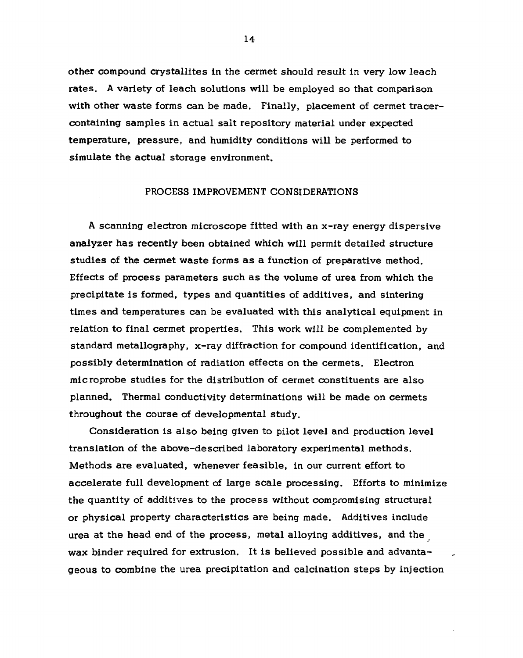**other compound crystallite s in the cermet should result in very low leach rates. A variety of leach solutions will be employed s o that comparison**  with other waste forms can be made. Finally, placement of cermet tracer**containing samples in actual salt repository material under expected temperature, pressure, and humidity conditions will be performed to simulate the actual storage environment.** 

#### **PROCESS IMPROVEMENT CONSIDERATIONS**

**A scanning electron microscope fitted with an x-ra y energy dispersive analyze r has recently been obtained which will permit detailed structure studie s of the cermet wast e forms a s a function of preparative method. Effects of process parameters such a s the volume of urea from which the precipitate is formed, type s and quantities of additives, and sintering time s and temperatures can be evaluated with this analytical equipment in relation to final cermet properties. This work will be complemented by standard metallography, x-ray diffraction for compound identification, and possibl y determination of radiation effects on the cermets. Electron micro probe studie s for the distribution of cermet constituents are als o planned. Thermal conductivity determinations will be made on cermets throughout the course of developmental study.** 

Consideration is also being given to pilot level and production level **translation of the above-described laboratory experimental methods. Methods are evaluated, whenever feasible , in our current effort to accelerat e full development of large scal e processing. Efforts to minimize the quantity of additive s to the process without compromising structural or physica l property characteristics are being made. Additives include urea at the head end of the process, metal alloying additives, and the**  wax binder required for extrusion. It is believed possible and advanta**geous to combine the urea precipitation and calcination steps by injection**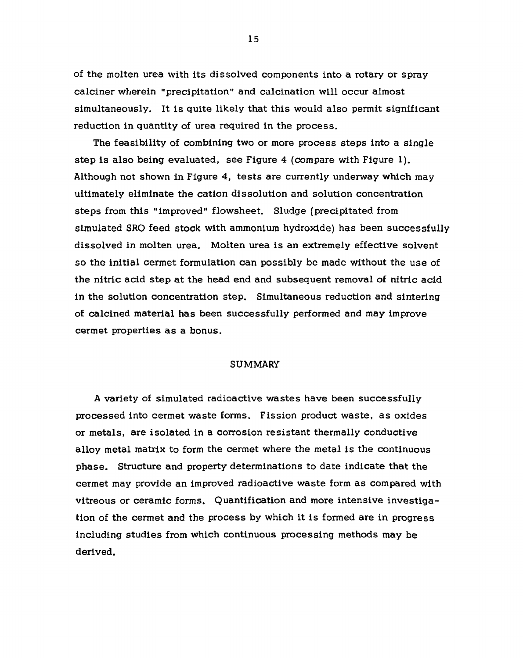**of the molten urea with its dissolved components into a rotary or spray calcine r wherein "precipitation" and calcination will occur almost**  simultaneously. It is quite likely that this would also permit significant **reduction in quantity of urea required in the process.** 

The feasibility of combining two or more process steps into a single **step is als o being evaluated, se e Figure 4 (compare with Figure 1). Although not shown in Figure 4, tests are currently underway which may ultimately eliminate the cation dissolution and solution concentration steps from this "improved" flowsheet. Sludge (precipitated from simulated SRO feed stock with ammonium hydroxide) has been successfull y dissolved in molten urea. Molten urea is an extremely effective solvent s o the initial cermet formulation can possibly be made without the us e of the nitric acid step at the head end and subsequent removal of nitric acid in the solution concentration step. Simultaneous reduction and sintering of calcined material has been successfull y performed and may improve**  cermet properties as a bonus.

### **SUMMARY**

**A variety of simulated radioactive waste s have been successfull y processed into cermet wast e forms. Fission product waste , a s oxide s or metals, are isolated in a corrosion resistant thermally conductive alloy metal matrix to form the cermet where the metal is the continuous phase. Structure and property determinations to date indicate that the cermet may provide an improved radioactive wast e form a s compared with vitreous or ceramic forms. Quantification and more intensive investiga tion of the cermet and the process by which it is formed are in progress including studie s from which continuous processing methods may be derived.**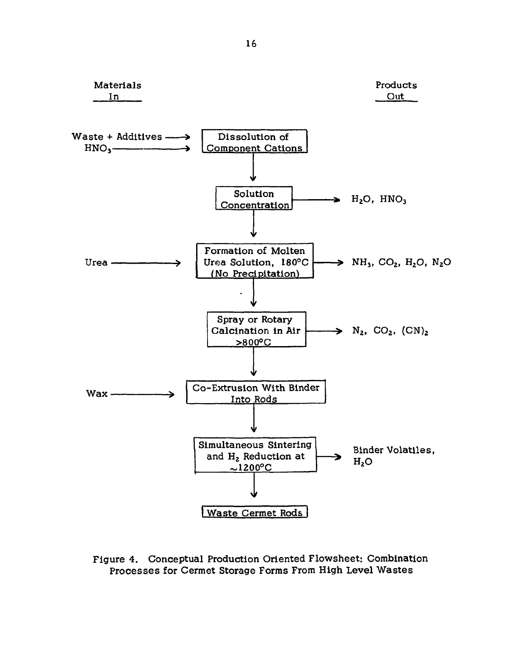

**Figure 4. Conceptual Production Oriented Flowsheet: Combination Processe s for Cermet Storage Forms From High Level Waste s**